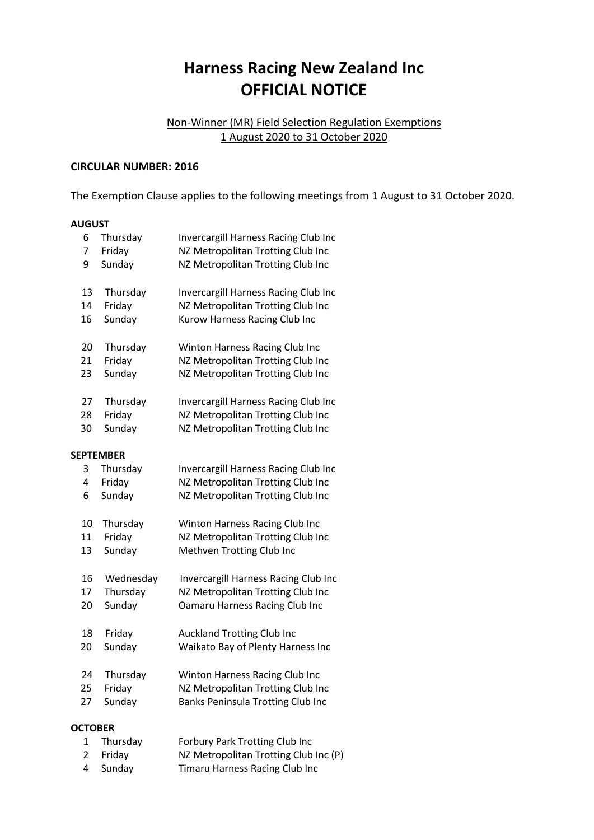## **Harness Racing New Zealand Inc OFFICIAL NOTICE**

## Non-Winner (MR) Field Selection Regulation Exemptions 1 August 2020 to 31 October 2020

## **CIRCULAR NUMBER: 2016**

The Exemption Clause applies to the following meetings from 1 August to 31 October 2020.

## **AUGUST**

| 6              | Thursday         | Invercargill Harness Racing Club Inc |  |  |  |
|----------------|------------------|--------------------------------------|--|--|--|
| 7              | Friday           | NZ Metropolitan Trotting Club Inc    |  |  |  |
| 9              | Sunday           | NZ Metropolitan Trotting Club Inc    |  |  |  |
| 13             | Thursday         | Invercargill Harness Racing Club Inc |  |  |  |
| 14             | Friday           | NZ Metropolitan Trotting Club Inc    |  |  |  |
| 16             | Sunday           | Kurow Harness Racing Club Inc        |  |  |  |
| 20             | Thursday         | Winton Harness Racing Club Inc       |  |  |  |
| 21             | Friday           | NZ Metropolitan Trotting Club Inc    |  |  |  |
| 23             | Sunday           | NZ Metropolitan Trotting Club Inc    |  |  |  |
| 27             | Thursday         | Invercargill Harness Racing Club Inc |  |  |  |
| 28             | Friday           | NZ Metropolitan Trotting Club Inc    |  |  |  |
| 30             | Sunday           | NZ Metropolitan Trotting Club Inc    |  |  |  |
|                | <b>SEPTEMBER</b> |                                      |  |  |  |
| 3              | Thursday         | Invercargill Harness Racing Club Inc |  |  |  |
| 4              | Friday           | NZ Metropolitan Trotting Club Inc    |  |  |  |
| 6              | Sunday           | NZ Metropolitan Trotting Club Inc    |  |  |  |
| 10             | Thursday         | Winton Harness Racing Club Inc       |  |  |  |
| 11             | Friday           | NZ Metropolitan Trotting Club Inc    |  |  |  |
| 13             | Sunday           | Methven Trotting Club Inc            |  |  |  |
| 16             | Wednesday        | Invercargill Harness Racing Club Inc |  |  |  |
| 17             | Thursday         | NZ Metropolitan Trotting Club Inc    |  |  |  |
| 20             | Sunday           | Oamaru Harness Racing Club Inc       |  |  |  |
| 18             | Friday           | <b>Auckland Trotting Club Inc</b>    |  |  |  |
| 20             | Sunday           | Waikato Bay of Plenty Harness Inc    |  |  |  |
| 24             | Thursday         | Winton Harness Racing Club Inc       |  |  |  |
| 25             | Friday           | NZ Metropolitan Trotting Club Inc    |  |  |  |
| 27             | Sunday           | Banks Peninsula Trotting Club Inc    |  |  |  |
| <b>OCTOBER</b> |                  |                                      |  |  |  |

| 1 Thursday | Forbury Park Trotting Club Inc        |
|------------|---------------------------------------|
| 2 Fridav   | NZ Metropolitan Trotting Club Inc (P) |
| 4 Sunday   | Timaru Harness Racing Club Inc        |